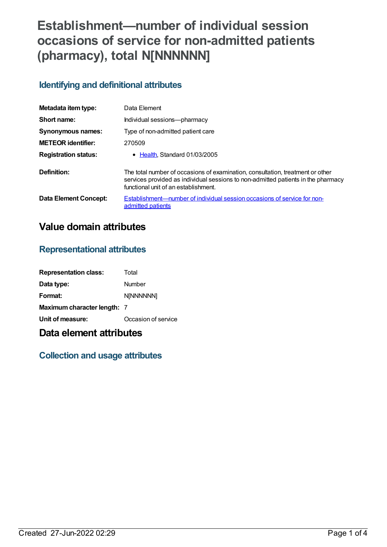# **Establishment—number of individual session occasions of service for non-admitted patients (pharmacy), total N[NNNNNN]**

### **Identifying and definitional attributes**

| Metadata item type:         | Data Element                                                                                                                                                                                                |
|-----------------------------|-------------------------------------------------------------------------------------------------------------------------------------------------------------------------------------------------------------|
| Short name:                 | Individual sessions-pharmacy                                                                                                                                                                                |
| <b>Synonymous names:</b>    | Type of non-admitted patient care                                                                                                                                                                           |
| <b>METEOR</b> identifier:   | 270509                                                                                                                                                                                                      |
| <b>Registration status:</b> | • Health Standard 01/03/2005                                                                                                                                                                                |
| Definition:                 | The total number of occasions of examination, consultation, treatment or other<br>services provided as individual sessions to non-admitted patients in the pharmacy<br>functional unit of an establishment. |
| Data Element Concept:       | Establishment—number of individual session occasions of service for non-<br>admitted patients                                                                                                               |

# **Value domain attributes**

#### **Representational attributes**

| <b>Representation class:</b> | Total               |
|------------------------------|---------------------|
| Data type:                   | Number              |
| Format:                      | <b>N[NNNNNN]</b>    |
| Maximum character length: 7  |                     |
| Unit of measure:             | Occasion of service |

## **Data element attributes**

### **Collection and usage attributes**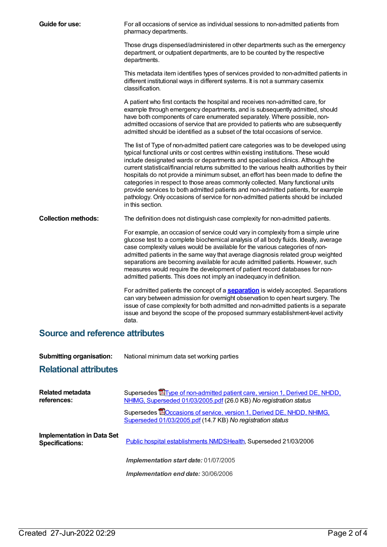| Guide for use:             | For all occasions of service as individual sessions to non-admitted patients from<br>pharmacy departments.                                                                                                                                                                                                                                                                                                                                                                                                                                                                                                                                                                                                                  |
|----------------------------|-----------------------------------------------------------------------------------------------------------------------------------------------------------------------------------------------------------------------------------------------------------------------------------------------------------------------------------------------------------------------------------------------------------------------------------------------------------------------------------------------------------------------------------------------------------------------------------------------------------------------------------------------------------------------------------------------------------------------------|
|                            | Those drugs dispensed/administered in other departments such as the emergency<br>department, or outpatient departments, are to be counted by the respective<br>departments.                                                                                                                                                                                                                                                                                                                                                                                                                                                                                                                                                 |
|                            | This metadata item identifies types of services provided to non-admitted patients in<br>different institutional ways in different systems. It is not a summary casemix<br>classification.                                                                                                                                                                                                                                                                                                                                                                                                                                                                                                                                   |
|                            | A patient who first contacts the hospital and receives non-admitted care, for<br>example through emergency departments, and is subsequently admitted, should<br>have both components of care enumerated separately. Where possible, non-<br>admitted occasions of service that are provided to patients who are subsequently<br>admitted should be identified as a subset of the total occasions of service.                                                                                                                                                                                                                                                                                                                |
|                            | The list of Type of non-admitted patient care categories was to be developed using<br>typical functional units or cost centres within existing institutions. These would<br>include designated wards or departments and specialised clinics. Although the<br>current statistical/financial returns submitted to the various health authorities by their<br>hospitals do not provide a minimum subset, an effort has been made to define the<br>categories in respect to those areas commonly collected. Many functional units<br>provide services to both admitted patients and non-admitted patients, for example<br>pathology. Only occasions of service for non-admitted patients should be included<br>in this section. |
| <b>Collection methods:</b> | The definition does not distinguish case complexity for non-admitted patients.                                                                                                                                                                                                                                                                                                                                                                                                                                                                                                                                                                                                                                              |
|                            | For example, an occasion of service could vary in complexity from a simple urine<br>glucose test to a complete biochemical analysis of all body fluids. Ideally, average<br>case complexity values would be available for the various categories of non-<br>admitted patients in the same way that average diagnosis related group weighted<br>separations are becoming available for acute admitted patients. However, such<br>measures would require the development of patient record databases for non-<br>admitted patients. This does not imply an inadequacy in definition.                                                                                                                                          |
|                            | For admitted patients the concept of a <b>separation</b> is widely accepted. Separations<br>can vary between admission for overnight observation to open heart surgery. The<br>issue of case complexity for both admitted and non-admitted patients is a separate<br>issue and beyond the scope of the proposed summary establishment-level activity<br>data.                                                                                                                                                                                                                                                                                                                                                               |
|                            |                                                                                                                                                                                                                                                                                                                                                                                                                                                                                                                                                                                                                                                                                                                             |

#### **Source and reference attributes**

| <b>Submitting organisation:</b> | National minimum data set working parties |
|---------------------------------|-------------------------------------------|
|---------------------------------|-------------------------------------------|

### **Relational attributes**

| Related metadata<br>references:                             | Supersedes <b>E</b> Type of non-admitted patient care, version 1, Derived DE, NHDD,<br>NHIMG, Superseded 01/03/2005.pdf (26.0 KB) No registration status |
|-------------------------------------------------------------|----------------------------------------------------------------------------------------------------------------------------------------------------------|
|                                                             | Supersedes <b>BO</b> ccasions of service, version 1, Derived DE, NHDD, NHIMG,<br>Superseded 01/03/2005.pdf (14.7 KB) No registration status              |
| <b>Implementation in Data Set</b><br><b>Specifications:</b> | Public hospital establishments NMDSHealth, Superseded 21/03/2006                                                                                         |
|                                                             | Implementation start date: 01/07/2005                                                                                                                    |
|                                                             | Implementation end date: 30/06/2006                                                                                                                      |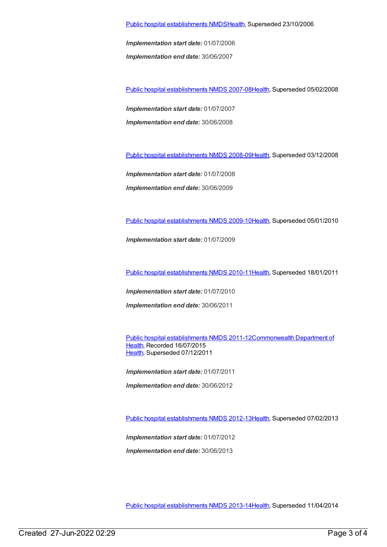Public hospital [establishments](https://meteor.aihw.gov.au/content/334285) NMDS[Health](https://meteor.aihw.gov.au/RegistrationAuthority/12), Superseded 23/10/2006

*Implementation start date:* 01/07/2006

*Implementation end date:* 30/06/2007

Public hospital [establishments](https://meteor.aihw.gov.au/content/345139) NMDS 2007-08[Health](https://meteor.aihw.gov.au/RegistrationAuthority/12), Superseded 05/02/2008

*Implementation start date:* 01/07/2007 *Implementation end date:* 30/06/2008

Public hospital [establishments](https://meteor.aihw.gov.au/content/362302) NMDS 2008-09[Health](https://meteor.aihw.gov.au/RegistrationAuthority/12), Superseded 03/12/2008

*Implementation start date:* 01/07/2008

*Implementation end date:* 30/06/2009

Public hospital [establishments](https://meteor.aihw.gov.au/content/374924) NMDS 2009-10[Health](https://meteor.aihw.gov.au/RegistrationAuthority/12), Superseded 05/01/2010

*Implementation start date:* 01/07/2009

Public hospital [establishments](https://meteor.aihw.gov.au/content/386794) NMDS 2010-11[Health](https://meteor.aihw.gov.au/RegistrationAuthority/12), Superseded 18/01/2011

*Implementation start date:* 01/07/2010 *Implementation end date:* 30/06/2011

Public hospital [establishments](https://meteor.aihw.gov.au/content/426900) NMDS [2011-12Commonwealth](https://meteor.aihw.gov.au/RegistrationAuthority/10) Department of Health, Recorded 16/07/2015 [Health](https://meteor.aihw.gov.au/RegistrationAuthority/12), Superseded 07/12/2011

*Implementation start date:* 01/07/2011

*Implementation end date:* 30/06/2012

Public hospital [establishments](https://meteor.aihw.gov.au/content/470656) NMDS 2012-13[Health](https://meteor.aihw.gov.au/RegistrationAuthority/12), Superseded 07/02/2013

*Implementation start date:* 01/07/2012

*Implementation end date:* 30/06/2013

Public hospital [establishments](https://meteor.aihw.gov.au/content/504279) NMDS 2013-14[Health](https://meteor.aihw.gov.au/RegistrationAuthority/12), Superseded 11/04/2014